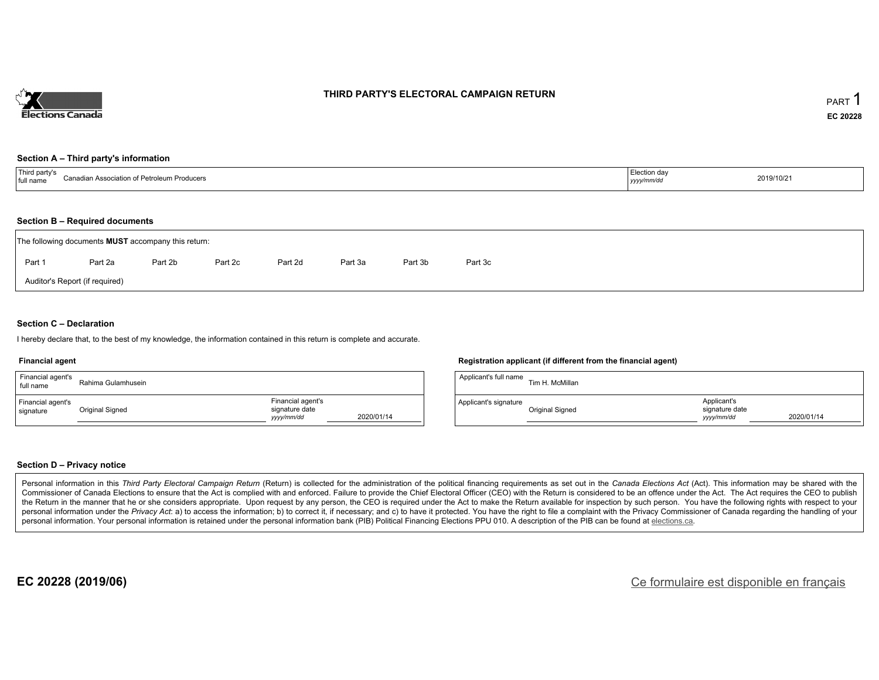

### **THIRD PARTY'S ELECTORAL CAMPAIGN RETURN**

#### **Section A – Third party's information**

| $\overline{\phantom{a}}$<br>⊇ิลnadia<br>n Association of Petroleum Producers<br>l full name | ction davٽٽ<br>, , , , , , , | 2019/10/21 |
|---------------------------------------------------------------------------------------------|------------------------------|------------|
|---------------------------------------------------------------------------------------------|------------------------------|------------|

#### **Section B – Required documents**

|                                | The following documents <b>MUST</b> accompany this return: |         |         |         |         |         |         |  |  |  |  |
|--------------------------------|------------------------------------------------------------|---------|---------|---------|---------|---------|---------|--|--|--|--|
| Part 1                         | Part 2a                                                    | Part 2b | Part 2c | Part 2d | Part 3a | Part 3b | Part 3c |  |  |  |  |
| Auditor's Report (if required) |                                                            |         |         |         |         |         |         |  |  |  |  |

### **Section C – Declaration**

I hereby declare that, to the best of my knowledge, the information contained in this return is complete and accurate.

#### **Financial agent**

| Financial agent's<br>full name | Rahima Gulamhusein |                                                   |            | Applicant's full name | Tim            |
|--------------------------------|--------------------|---------------------------------------------------|------------|-----------------------|----------------|
| Financial agent's<br>signature | Original Signed    | Financial agent's<br>signature date<br>yyyy/mm/dd | 2020/01/14 | Applicant's signature | Orio<br>$\sim$ |

#### **Registration applicant (if different from the financial agent)**

| Applicant's full name | Tim H. McMillan |                                            |            |
|-----------------------|-----------------|--------------------------------------------|------------|
| Applicant's signature | Original Signed | Applicant's<br>signature date<br>yyy/mm/dd | 2020/01/14 |

### **Section D – Privacy notice**

Personal information in this Third Party Electoral Campaign Return (Return) is collected for the administration of the political financing requirements as set out in the Canada Elections Act (Act). This information may be Commissioner of Canada Elections to ensure that the Act is complied with and enforced. Failure to provide the Chief Electoral Officer (CEO) with the Return is considered to be an offence under the Act. The Act requires the the Return in the manner that he or she considers appropriate. Upon request by any person, the CEO is required under the Act to make the Return available for inspection by such person. You have the following rights with re personal information under the Privacy Act: a) to access the information; b) to correct it, if necessary; and c) to have it protected. You have the right to file a complaint with the Privacy Commissioner of Canada regardin personal information. Your personal information is retained under the personal information bank (PIB) Political Financing Elections PPU 010. A description of the PIB can be found at elections.ca.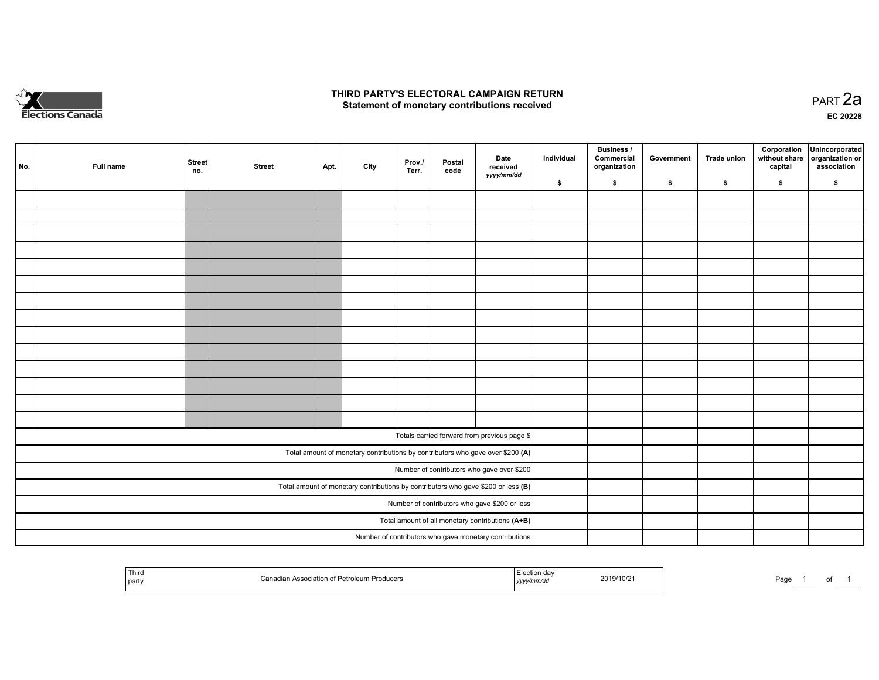

### **THIRD PARTY'S ELECTORAL CAMPAIGN RETURN HIRD PARTY'S ELECTORAL CAMPAIGN RETURN<br>Statement of monetary contributions received PART 2a PART 2a**

**EC 20228**

| No. | Full name | <b>Street</b><br>no. | <b>Street</b> | Apt. | City | Prov./<br>Terr. | Postal<br>code | Date<br>received                                                                    | Individual | <b>Business /</b><br>Commercial<br>organization | Government | Trade union | Corporation<br>without share<br>capital | Unincorporated<br>organization or<br>association |
|-----|-----------|----------------------|---------------|------|------|-----------------|----------------|-------------------------------------------------------------------------------------|------------|-------------------------------------------------|------------|-------------|-----------------------------------------|--------------------------------------------------|
|     |           |                      |               |      |      |                 |                | yyyy/mm/dd                                                                          | \$         | \$                                              | \$         | \$          | \$                                      | \$                                               |
|     |           |                      |               |      |      |                 |                |                                                                                     |            |                                                 |            |             |                                         |                                                  |
|     |           |                      |               |      |      |                 |                |                                                                                     |            |                                                 |            |             |                                         |                                                  |
|     |           |                      |               |      |      |                 |                |                                                                                     |            |                                                 |            |             |                                         |                                                  |
|     |           |                      |               |      |      |                 |                |                                                                                     |            |                                                 |            |             |                                         |                                                  |
|     |           |                      |               |      |      |                 |                |                                                                                     |            |                                                 |            |             |                                         |                                                  |
|     |           |                      |               |      |      |                 |                |                                                                                     |            |                                                 |            |             |                                         |                                                  |
|     |           |                      |               |      |      |                 |                |                                                                                     |            |                                                 |            |             |                                         |                                                  |
|     |           |                      |               |      |      |                 |                |                                                                                     |            |                                                 |            |             |                                         |                                                  |
|     |           |                      |               |      |      |                 |                |                                                                                     |            |                                                 |            |             |                                         |                                                  |
|     |           |                      |               |      |      |                 |                |                                                                                     |            |                                                 |            |             |                                         |                                                  |
|     |           |                      |               |      |      |                 |                |                                                                                     |            |                                                 |            |             |                                         |                                                  |
|     |           |                      |               |      |      |                 |                |                                                                                     |            |                                                 |            |             |                                         |                                                  |
|     |           |                      |               |      |      |                 |                |                                                                                     |            |                                                 |            |             |                                         |                                                  |
|     |           |                      |               |      |      |                 |                |                                                                                     |            |                                                 |            |             |                                         |                                                  |
|     |           |                      |               |      |      |                 |                | Totals carried forward from previous page \$                                        |            |                                                 |            |             |                                         |                                                  |
|     |           |                      |               |      |      |                 |                | Total amount of monetary contributions by contributors who gave over \$200 (A)      |            |                                                 |            |             |                                         |                                                  |
|     |           |                      |               |      |      |                 |                | Number of contributors who gave over \$200                                          |            |                                                 |            |             |                                         |                                                  |
|     |           |                      |               |      |      |                 |                | Total amount of monetary contributions by contributors who gave \$200 or less $(B)$ |            |                                                 |            |             |                                         |                                                  |
|     |           |                      |               |      |      |                 |                | Number of contributors who gave \$200 or less                                       |            |                                                 |            |             |                                         |                                                  |
|     |           |                      |               |      |      |                 |                | Total amount of all monetary contributions (A+B)                                    |            |                                                 |            |             |                                         |                                                  |
|     |           |                      |               |      |      |                 |                | Number of contributors who gave monetary contributions                              |            |                                                 |            |             |                                         |                                                  |

| <sup>1</sup> Thiro<br>party | $D0$ trojoj<br>$\Gamma$<br>Association of I<br>roducers<br>oleum. | <sub>⊶</sub> on da∨<br>2019/10/21<br>,,,,, | Page<br>$\cdot$ |
|-----------------------------|-------------------------------------------------------------------|--------------------------------------------|-----------------|
|-----------------------------|-------------------------------------------------------------------|--------------------------------------------|-----------------|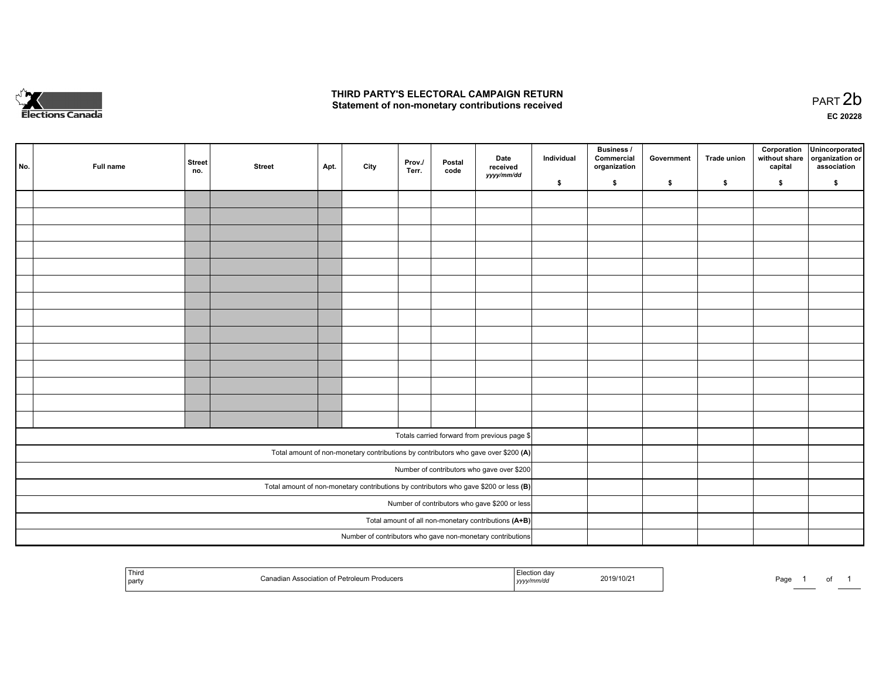

## **THIRD PARTY'S ELECTORAL CAMPAIGN RETURN**  THIRD PARTY'S ELECTORAL CAMPAIGN RETURN<br>Statement of non-monetary contributions received

| No. | Full name                                                                               | <b>Street</b><br>no. | <b>Street</b> | Apt. | City | Prov./<br>Terr. | Postal<br>code | Date<br>received<br>yyyy/mm/dd                                                     | Individual | <b>Business /</b><br>Commercial<br>organization | Government | Trade union | capital | Corporation Unincorporated<br>without share organization or<br>association |
|-----|-----------------------------------------------------------------------------------------|----------------------|---------------|------|------|-----------------|----------------|------------------------------------------------------------------------------------|------------|-------------------------------------------------|------------|-------------|---------|----------------------------------------------------------------------------|
|     |                                                                                         |                      |               |      |      |                 |                |                                                                                    | \$         | \$                                              | \$         | \$          | \$      | \$                                                                         |
|     |                                                                                         |                      |               |      |      |                 |                |                                                                                    |            |                                                 |            |             |         |                                                                            |
|     |                                                                                         |                      |               |      |      |                 |                |                                                                                    |            |                                                 |            |             |         |                                                                            |
|     |                                                                                         |                      |               |      |      |                 |                |                                                                                    |            |                                                 |            |             |         |                                                                            |
|     |                                                                                         |                      |               |      |      |                 |                |                                                                                    |            |                                                 |            |             |         |                                                                            |
|     |                                                                                         |                      |               |      |      |                 |                |                                                                                    |            |                                                 |            |             |         |                                                                            |
|     |                                                                                         |                      |               |      |      |                 |                |                                                                                    |            |                                                 |            |             |         |                                                                            |
|     |                                                                                         |                      |               |      |      |                 |                |                                                                                    |            |                                                 |            |             |         |                                                                            |
|     |                                                                                         |                      |               |      |      |                 |                |                                                                                    |            |                                                 |            |             |         |                                                                            |
|     |                                                                                         |                      |               |      |      |                 |                |                                                                                    |            |                                                 |            |             |         |                                                                            |
|     |                                                                                         |                      |               |      |      |                 |                |                                                                                    |            |                                                 |            |             |         |                                                                            |
|     |                                                                                         |                      |               |      |      |                 |                |                                                                                    |            |                                                 |            |             |         |                                                                            |
|     |                                                                                         |                      |               |      |      |                 |                |                                                                                    |            |                                                 |            |             |         |                                                                            |
|     |                                                                                         |                      |               |      |      |                 |                |                                                                                    |            |                                                 |            |             |         |                                                                            |
|     |                                                                                         |                      |               |      |      |                 |                |                                                                                    |            |                                                 |            |             |         |                                                                            |
|     |                                                                                         |                      |               |      |      |                 |                | Totals carried forward from previous page \$                                       |            |                                                 |            |             |         |                                                                            |
|     |                                                                                         |                      |               |      |      |                 |                |                                                                                    |            |                                                 |            |             |         |                                                                            |
|     |                                                                                         |                      |               |      |      |                 |                | Total amount of non-monetary contributions by contributors who gave over \$200 (A) |            |                                                 |            |             |         |                                                                            |
|     |                                                                                         |                      |               |      |      |                 |                | Number of contributors who gave over \$200                                         |            |                                                 |            |             |         |                                                                            |
|     | Total amount of non-monetary contributions by contributors who gave \$200 or less $(B)$ |                      |               |      |      |                 |                |                                                                                    |            |                                                 |            |             |         |                                                                            |
|     |                                                                                         |                      |               |      |      |                 |                | Number of contributors who gave \$200 or less                                      |            |                                                 |            |             |         |                                                                            |
|     |                                                                                         |                      |               |      |      |                 |                | Total amount of all non-monetary contributions (A+B)                               |            |                                                 |            |             |         |                                                                            |
|     |                                                                                         |                      |               |      |      |                 |                | Number of contributors who gave non-monetary contributions                         |            |                                                 |            |             |         |                                                                            |

| <sup>1</sup> Thiru<br>Producers<br>Petroleum<br>' party | 2019/10/2<br>yyyy <i>mmv</i> uu | Page<br>- - - |  |  |
|---------------------------------------------------------|---------------------------------|---------------|--|--|
|---------------------------------------------------------|---------------------------------|---------------|--|--|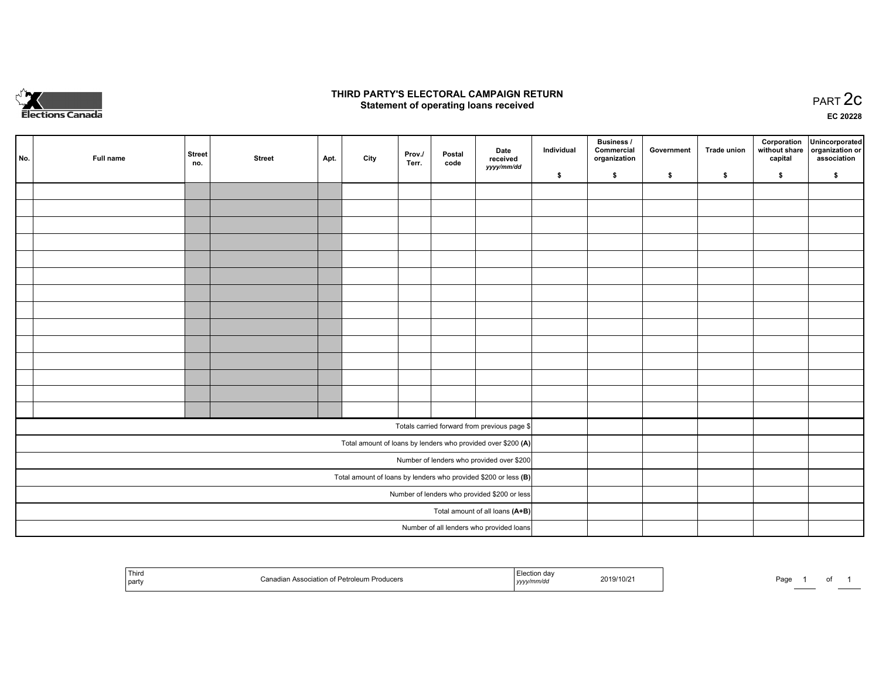

## **THIRD PARTY'S ELECTORAL CAMPAIGN RETURN STATE:** PRACT OF OPPRESS TO PART 2C STATE STATE STATE STATE STATE STATE STATE STATE STATE STATE STATE STATE STA<br>PART 2C Statement of operating loans received

**EC 20228**

|     |           | <b>Street</b> |               |      |      | Prov./ | Postal | Date                                                            | Individual | <b>Business /</b><br>Commercial | Government | Trade union | Corporation | Unincorporated<br>without share   organization or |
|-----|-----------|---------------|---------------|------|------|--------|--------|-----------------------------------------------------------------|------------|---------------------------------|------------|-------------|-------------|---------------------------------------------------|
| No. | Full name | no.           | <b>Street</b> | Apt. | City | Terr.  | code   | received<br>yyyy/mm/dd                                          |            | organization                    |            |             | capital     | association                                       |
|     |           |               |               |      |      |        |        |                                                                 | \$         | \$                              | \$         | \$          | \$          | \$                                                |
|     |           |               |               |      |      |        |        |                                                                 |            |                                 |            |             |             |                                                   |
|     |           |               |               |      |      |        |        |                                                                 |            |                                 |            |             |             |                                                   |
|     |           |               |               |      |      |        |        |                                                                 |            |                                 |            |             |             |                                                   |
|     |           |               |               |      |      |        |        |                                                                 |            |                                 |            |             |             |                                                   |
|     |           |               |               |      |      |        |        |                                                                 |            |                                 |            |             |             |                                                   |
|     |           |               |               |      |      |        |        |                                                                 |            |                                 |            |             |             |                                                   |
|     |           |               |               |      |      |        |        |                                                                 |            |                                 |            |             |             |                                                   |
|     |           |               |               |      |      |        |        |                                                                 |            |                                 |            |             |             |                                                   |
|     |           |               |               |      |      |        |        |                                                                 |            |                                 |            |             |             |                                                   |
|     |           |               |               |      |      |        |        |                                                                 |            |                                 |            |             |             |                                                   |
|     |           |               |               |      |      |        |        |                                                                 |            |                                 |            |             |             |                                                   |
|     |           |               |               |      |      |        |        |                                                                 |            |                                 |            |             |             |                                                   |
|     |           |               |               |      |      |        |        |                                                                 |            |                                 |            |             |             |                                                   |
|     |           |               |               |      |      |        |        |                                                                 |            |                                 |            |             |             |                                                   |
|     |           |               |               |      |      |        |        |                                                                 |            |                                 |            |             |             |                                                   |
|     |           |               |               |      |      |        |        | Totals carried forward from previous page \$                    |            |                                 |            |             |             |                                                   |
|     |           |               |               |      |      |        |        | Total amount of loans by lenders who provided over \$200 (A)    |            |                                 |            |             |             |                                                   |
|     |           |               |               |      |      |        |        | Number of lenders who provided over \$200                       |            |                                 |            |             |             |                                                   |
|     |           |               |               |      |      |        |        | Total amount of loans by lenders who provided \$200 or less (B) |            |                                 |            |             |             |                                                   |
|     |           |               |               |      |      |        |        | Number of lenders who provided \$200 or less                    |            |                                 |            |             |             |                                                   |
|     |           |               |               |      |      |        |        | Total amount of all loans (A+B)                                 |            |                                 |            |             |             |                                                   |
|     |           |               |               |      |      |        |        | Number of all lenders who provided loans                        |            |                                 |            |             |             |                                                   |

|  | Third<br>Association of Petroleum Producers<br>$\sim$<br>l partv | on dar<br>2019/10/2<br>,,,,, | Page |
|--|------------------------------------------------------------------|------------------------------|------|
|--|------------------------------------------------------------------|------------------------------|------|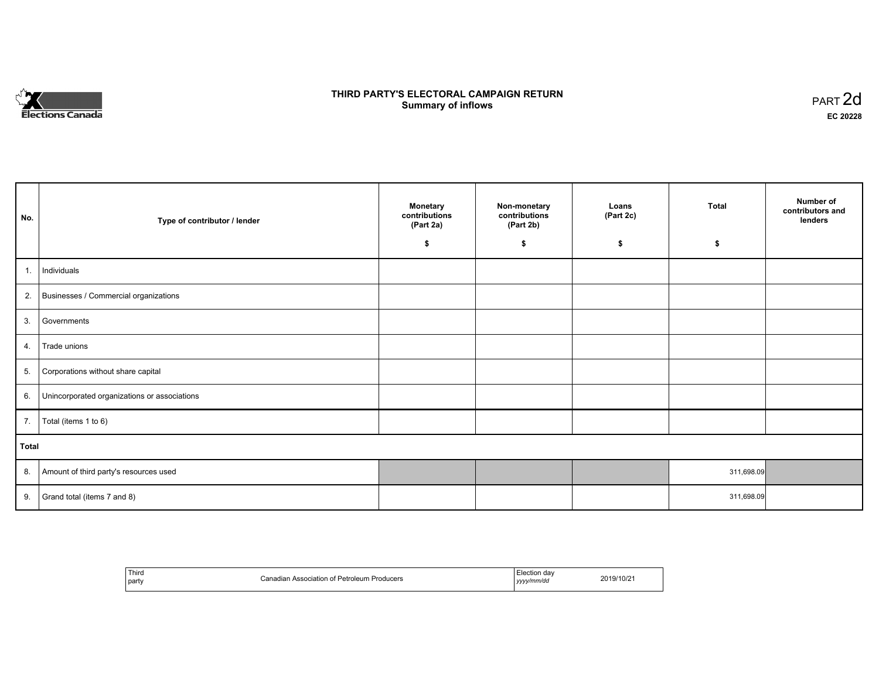

## **THIRD PARTY'S ELECTORAL CAMPAIGN RETURN S** ELECTORAL CAMPAIGN RETURN<br>Summary of inflows PART 2d

| No.   | Type of contributor / lender                 | <b>Monetary</b><br>contributions<br>(Part 2a) | Non-monetary<br>contributions<br>(Part 2b) | Loans<br>(Part 2c)<br>\$ | <b>Total</b><br>\$ | Number of<br>contributors and<br>lenders |
|-------|----------------------------------------------|-----------------------------------------------|--------------------------------------------|--------------------------|--------------------|------------------------------------------|
|       |                                              | \$                                            | \$                                         |                          |                    |                                          |
| 1.    | Individuals                                  |                                               |                                            |                          |                    |                                          |
|       | 2. Businesses / Commercial organizations     |                                               |                                            |                          |                    |                                          |
| 3.    | Governments                                  |                                               |                                            |                          |                    |                                          |
| 4.    | Trade unions                                 |                                               |                                            |                          |                    |                                          |
| 5.    | Corporations without share capital           |                                               |                                            |                          |                    |                                          |
| 6.    | Unincorporated organizations or associations |                                               |                                            |                          |                    |                                          |
| 7.    | Total (items 1 to 6)                         |                                               |                                            |                          |                    |                                          |
| Total |                                              |                                               |                                            |                          |                    |                                          |
| 8.    | Amount of third party's resources used       |                                               |                                            |                          | 311,698.09         |                                          |
| 9.    | Grand total (items 7 and 8)                  |                                               |                                            |                          | 311,698.09         |                                          |

| Third<br>party | f Petroleum Producers<br>`onodion<br>Association of<br>Ganagian 7 | ⊦dav<br>-Iootion<br>156.1101 I<br>www/mm/dd<br>,,,, | 2019/10/2 |
|----------------|-------------------------------------------------------------------|-----------------------------------------------------|-----------|
|----------------|-------------------------------------------------------------------|-----------------------------------------------------|-----------|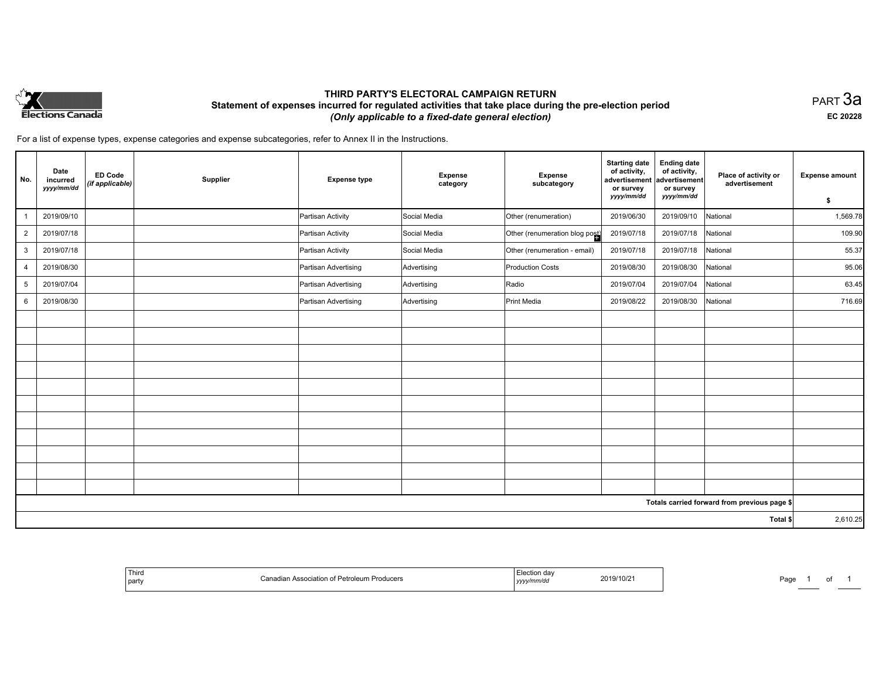

## **THIRD PARTY'S ELECTORAL CAMPAIGN RETURN Statement of expenses incurred for regulated activities that take place during the pre-election period**  *(Only applicable to a fixed-date general election)*

PART 3a **EC 20228**

For a list of expense types, expense categories and expense subcategories, refer to Annex II in the Instructions.

| No.            | Date<br>incurred<br>yyyy/mm/dd | <b>ED Code</b><br>(if applicable) | Supplier | <b>Expense type</b>  | Expense<br>category | <b>Expense</b><br>subcategory  | <b>Starting date</b><br>of activity,<br>advertisement<br>or survey | <b>Ending date</b><br>of activity,<br>advertisement<br>or survey | Place of activity or<br>advertisement        | <b>Expense amount</b> |
|----------------|--------------------------------|-----------------------------------|----------|----------------------|---------------------|--------------------------------|--------------------------------------------------------------------|------------------------------------------------------------------|----------------------------------------------|-----------------------|
|                |                                |                                   |          |                      |                     |                                | yyyy/mm/dd                                                         | yyyy/mm/dd                                                       |                                              | \$                    |
| $\mathbf{1}$   | 2019/09/10                     |                                   |          | Partisan Activity    | Social Media        | Other (renumeration)           | 2019/06/30                                                         | 2019/09/10                                                       | National                                     | 1,569.78              |
| $\overline{2}$ | 2019/07/18                     |                                   |          | Partisan Activity    | Social Media        | Other (renumeration blog post) | 2019/07/18                                                         | 2019/07/18                                                       | National                                     | 109.90                |
| 3              | 2019/07/18                     |                                   |          | Partisan Activity    | Social Media        | Other (renumeration - email)   | 2019/07/18                                                         | 2019/07/18                                                       | National                                     | 55.37                 |
| $\overline{4}$ | 2019/08/30                     |                                   |          | Partisan Advertising | Advertising         | Production Costs               | 2019/08/30                                                         | 2019/08/30                                                       | National                                     | 95.06                 |
| 5              | 2019/07/04                     |                                   |          | Partisan Advertising | Advertising         | Radio                          | 2019/07/04                                                         | 2019/07/04                                                       | National                                     | 63.45                 |
| 6              | 2019/08/30                     |                                   |          | Partisan Advertising | Advertising         | Print Media                    | 2019/08/22                                                         | 2019/08/30                                                       | National                                     | 716.69                |
|                |                                |                                   |          |                      |                     |                                |                                                                    |                                                                  |                                              |                       |
|                |                                |                                   |          |                      |                     |                                |                                                                    |                                                                  |                                              |                       |
|                |                                |                                   |          |                      |                     |                                |                                                                    |                                                                  |                                              |                       |
|                |                                |                                   |          |                      |                     |                                |                                                                    |                                                                  |                                              |                       |
|                |                                |                                   |          |                      |                     |                                |                                                                    |                                                                  |                                              |                       |
|                |                                |                                   |          |                      |                     |                                |                                                                    |                                                                  |                                              |                       |
|                |                                |                                   |          |                      |                     |                                |                                                                    |                                                                  |                                              |                       |
|                |                                |                                   |          |                      |                     |                                |                                                                    |                                                                  |                                              |                       |
|                |                                |                                   |          |                      |                     |                                |                                                                    |                                                                  |                                              |                       |
|                |                                |                                   |          |                      |                     |                                |                                                                    |                                                                  |                                              |                       |
|                |                                |                                   |          |                      |                     |                                |                                                                    |                                                                  |                                              |                       |
|                |                                |                                   |          |                      |                     |                                |                                                                    |                                                                  | Totals carried forward from previous page \$ |                       |
|                |                                |                                   |          |                      |                     |                                |                                                                    |                                                                  | Total \$                                     | 2,610.25              |

| Third<br>  part | . ∍ociation of Petrole…<br>Producers | I∪/∠<br>צו ש<br>. | ∍הר<br>a |
|-----------------|--------------------------------------|-------------------|----------|
|-----------------|--------------------------------------|-------------------|----------|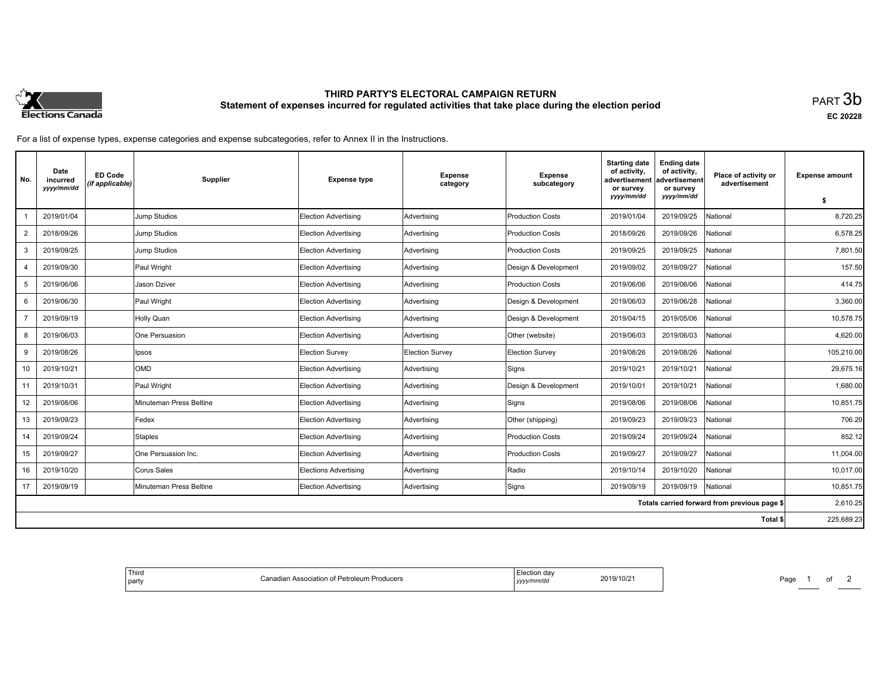

# **THIRD PARTY'S ELECTORAL CAMPAIGN RETURN Statement of expenses incurred for regulated activities that take place during the election period**<br>PART  $3\mathsf{b}$

**EC 20228**

For a list of expense types, expense categories and expense subcategories, refer to Annex II in the Instructions.

| No.            | Date<br>incurred<br>yyyy/mm/dd | <b>ED Code</b><br>(if applicable) | Supplier                | <b>Expense type</b>          | <b>Expense</b><br>category | <b>Expense</b><br>subcategory | <b>Starting date</b><br>of activity.<br>advertisement<br>or survey | <b>Ending date</b><br>of activity,<br>advertisement<br>or survey | Place of activity or<br>advertisement        | <b>Expense amount</b> |
|----------------|--------------------------------|-----------------------------------|-------------------------|------------------------------|----------------------------|-------------------------------|--------------------------------------------------------------------|------------------------------------------------------------------|----------------------------------------------|-----------------------|
|                |                                |                                   |                         |                              |                            |                               | yyyy/mm/dd                                                         | yyyy/mm/dd                                                       |                                              | \$                    |
|                | 2019/01/04                     |                                   | Jump Studios            | <b>Election Advertising</b>  | Advertising                | <b>Production Costs</b>       | 2019/01/04                                                         | 2019/09/25                                                       | National                                     | 8,720.25              |
| 2              | 2018/09/26                     |                                   | Jump Studios            | Election Advertising         | Advertising                | <b>Production Costs</b>       | 2018/09/26                                                         | 2019/09/26                                                       | National                                     | 6,578.25              |
| 3              | 2019/09/25                     |                                   | Jump Studios            | <b>Election Advertising</b>  | Advertising                | <b>Production Costs</b>       | 2019/09/25                                                         | 2019/09/25                                                       | <b>National</b>                              | 7,801.50              |
|                | 2019/09/30                     |                                   | Paul Wright             | Election Advertising         | Advertising                | Design & Development          | 2019/09/02                                                         | 2019/09/27                                                       | National                                     | 157.50                |
| 5              | 2019/06/06                     |                                   | Jason Dziver            | <b>Election Advertising</b>  | Advertising                | <b>Production Costs</b>       | 2019/06/06                                                         | 2019/06/06                                                       | <b>National</b>                              | 414.75                |
| 6              | 2019/06/30                     |                                   | Paul Wright             | Election Advertising         | Advertising                | Design & Development          | 2019/06/03                                                         | 2019/06/28                                                       | Vational                                     | 3,360.00              |
| $\overline{7}$ | 2019/09/19                     |                                   | Holly Quan              | <b>Election Advertising</b>  | Advertising                | Design & Development          | 2019/04/15                                                         | 2019/05/06                                                       | Vational                                     | 10,578.75             |
| 8              | 2019/06/03                     |                                   | One Persuasion          | Election Advertising         | Advertising                | Other (website)               | 2019/06/03                                                         | 2019/06/03                                                       | National                                     | 4,620.00              |
| 9              | 2019/08/26                     |                                   | Ipsos                   | Election Survey              | <b>Election Survey</b>     | <b>Election Survey</b>        | 2019/08/26                                                         | 2019/08/26                                                       | <b>National</b>                              | 105,210.00            |
| 10             | 2019/10/21                     |                                   | OMD                     | <b>Election Advertising</b>  | Advertising                | Signs                         | 2019/10/21                                                         | 2019/10/21                                                       | National                                     | 29,675.16             |
| 11             | 2019/10/31                     |                                   | Paul Wright             | <b>Election Advertising</b>  | Advertising                | Design & Development          | 2019/10/01                                                         | 2019/10/21                                                       | National                                     | 1,680.00              |
| 12             | 2019/08/06                     |                                   | Minuteman Press Beltine | <b>Election Advertising</b>  | Advertising                | Signs                         | 2019/08/06                                                         | 2019/08/06                                                       | <b>National</b>                              | 10,851.75             |
| 13             | 2019/09/23                     |                                   | Fedex                   | <b>Election Advertising</b>  | Advertising                | Other (shipping)              | 2019/09/23                                                         | 2019/09/23                                                       | National                                     | 706.20                |
| 14             | 2019/09/24                     |                                   | Staples                 | <b>Election Advertising</b>  | Advertising                | <b>Production Costs</b>       | 2019/09/24                                                         | 2019/09/24                                                       | National                                     | 852.12                |
| 15             | 2019/09/27                     |                                   | One Persuasion Inc.     | <b>Election Advertising</b>  | Advertising                | <b>Production Costs</b>       | 2019/09/27                                                         | 2019/09/27                                                       | <b>National</b>                              | 11,004.00             |
| 16             | 2019/10/20                     |                                   | Corus Sales             | <b>Elections Advertising</b> | Advertising                | Radio                         | 2019/10/14                                                         | 2019/10/20                                                       | National                                     | 10,017.00             |
| 17             | 2019/09/19                     |                                   | Minuteman Press Beltine | Election Advertising         | Advertising                | Signs                         | 2019/09/19                                                         | 2019/09/19                                                       | National                                     | 10,851.75             |
|                |                                |                                   |                         |                              |                            |                               |                                                                    |                                                                  | Totals carried forward from previous page \$ | 2,610.25              |
|                |                                |                                   |                         |                              |                            |                               |                                                                    |                                                                  | Total \$                                     | 225,689.23            |

| 2019/10/21 | Election dav<br>n Association of Petroleum Producers<br>Canadian ⊺<br>  yyyy/mm/dd |
|------------|------------------------------------------------------------------------------------|
|------------|------------------------------------------------------------------------------------|

Page 1 of 2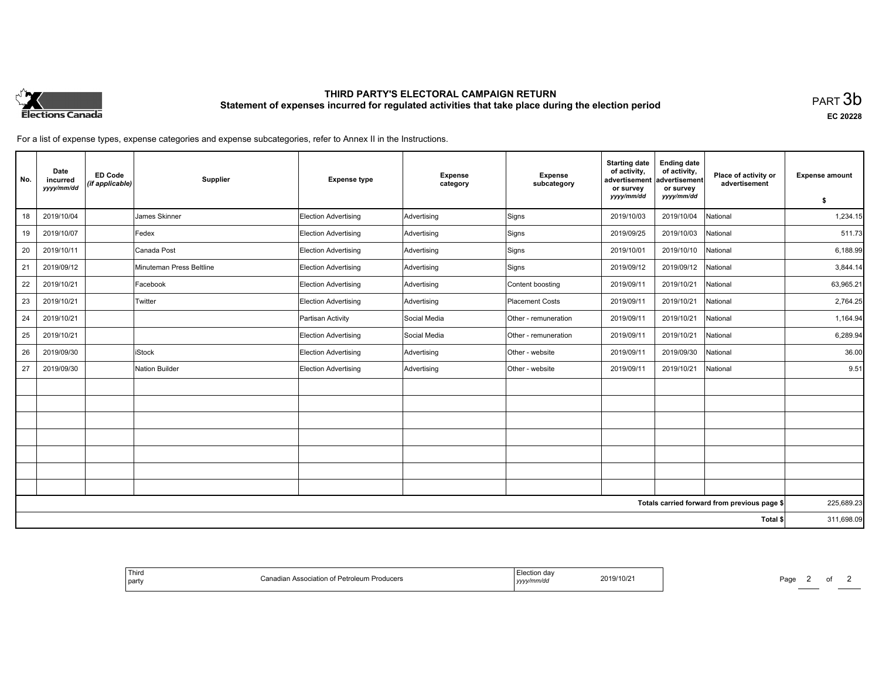

# **THIRD PARTY'S ELECTORAL CAMPAIGN RETURN Statement of expenses incurred for regulated activities that take place during the election period**<br>PART  $3\mathsf{b}$

**EC 20228**

For a list of expense types, expense categories and expense subcategories, refer to Annex II in the Instructions.

| No.      | Date<br>incurred<br>yyyy/mm/dd | <b>ED Code</b><br>(if applicable) | Supplier                 | <b>Expense type</b>         | <b>Expense</b><br>category | <b>Expense</b><br>subcategory | <b>Starting date</b><br>of activity,<br>advertisement<br>or survey<br>yyyy/mm/dd | <b>Ending date</b><br>of activity,<br>advertisement<br>or survey<br>yyyy/mm/dd | Place of activity or<br>advertisement        | <b>Expense amount</b><br>s. |
|----------|--------------------------------|-----------------------------------|--------------------------|-----------------------------|----------------------------|-------------------------------|----------------------------------------------------------------------------------|--------------------------------------------------------------------------------|----------------------------------------------|-----------------------------|
| 18       | 2019/10/04                     |                                   | James Skinner            | Election Advertising        | Advertising                | Signs                         | 2019/10/03                                                                       | 2019/10/04                                                                     | National                                     | 1,234.15                    |
| 19       | 2019/10/07                     |                                   | Fedex                    | Election Advertising        | Advertising                | Signs                         | 2019/09/25                                                                       | 2019/10/03                                                                     | National                                     | 511.73                      |
| 20       | 2019/10/11                     |                                   | Canada Post              | Election Advertising        | Advertising                | Signs                         | 2019/10/01                                                                       | 2019/10/10                                                                     | National                                     | 6,188.99                    |
| 21       | 2019/09/12                     |                                   | Minuteman Press Beltline | <b>Election Advertising</b> | Advertising                | Signs                         | 2019/09/12                                                                       | 2019/09/12                                                                     | National                                     | 3,844.14                    |
| 22       | 2019/10/21                     |                                   | Facebook                 | Election Advertising        | Advertising                | Content boosting              | 2019/09/11                                                                       | 2019/10/21                                                                     | National                                     | 63,965.21                   |
| 23       | 2019/10/21                     |                                   | Twitter                  | Election Advertising        | Advertising                | Placement Costs               | 2019/09/11                                                                       | 2019/10/21                                                                     | National                                     | 2,764.25                    |
| 24       | 2019/10/21                     |                                   |                          | Partisan Activity           | Social Media               | Other - remuneration          | 2019/09/11                                                                       | 2019/10/21                                                                     | National                                     | 1,164.94                    |
| 25       | 2019/10/21                     |                                   |                          | <b>Election Advertising</b> | Social Media               | Other - remuneration          | 2019/09/11                                                                       | 2019/10/21                                                                     | National                                     | 6,289.94                    |
| 26       | 2019/09/30                     |                                   | <b>iStock</b>            | Election Advertising        | Advertising                | Other - website               | 2019/09/11                                                                       | 2019/09/30                                                                     | National                                     | 36.00                       |
| 27       | 2019/09/30                     |                                   | Nation Builder           | Election Advertising        | Advertising                | Other - website               | 2019/09/11                                                                       | 2019/10/21                                                                     | National                                     | 9.51                        |
|          |                                |                                   |                          |                             |                            |                               |                                                                                  |                                                                                |                                              |                             |
|          |                                |                                   |                          |                             |                            |                               |                                                                                  |                                                                                |                                              |                             |
|          |                                |                                   |                          |                             |                            |                               |                                                                                  |                                                                                |                                              |                             |
|          |                                |                                   |                          |                             |                            |                               |                                                                                  |                                                                                |                                              |                             |
|          |                                |                                   |                          |                             |                            |                               |                                                                                  |                                                                                |                                              |                             |
|          |                                |                                   |                          |                             |                            |                               |                                                                                  |                                                                                |                                              |                             |
|          |                                |                                   |                          |                             |                            |                               |                                                                                  |                                                                                |                                              |                             |
|          |                                |                                   |                          |                             |                            |                               |                                                                                  |                                                                                | Totals carried forward from previous page \$ | 225,689.23                  |
| Total \$ |                                |                                   |                          |                             |                            |                               |                                                                                  | 311,698.09                                                                     |                                              |                             |

| ection da<br>2019/10/21<br>'mm/da<br>,,,,, | r Association of Petroleum Producers<br>`ono<br>odllow- | $\overline{\phantom{a}}$<br>i i ili u<br>nort. |
|--------------------------------------------|---------------------------------------------------------|------------------------------------------------|
|--------------------------------------------|---------------------------------------------------------|------------------------------------------------|

Page 2 of 2